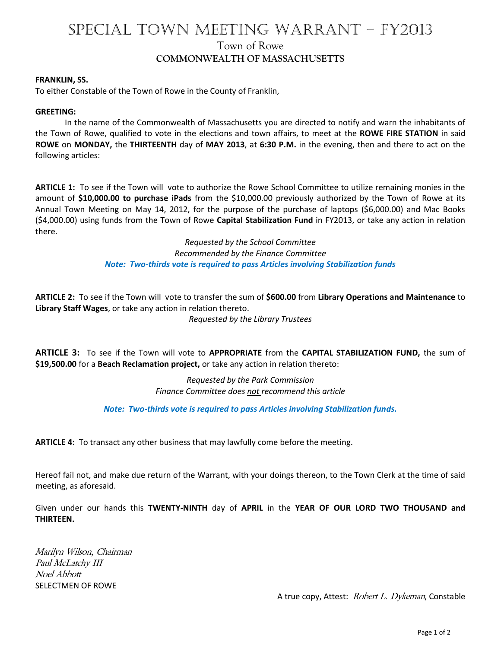# SPECIAL TOWN MEETING WARRANT – FY2013 Town of Rowe

### **COMMONWEALTH OF MASSACHUSETTS**

#### **FRANKLIN, SS.**

To either Constable of the Town of Rowe in the County of Franklin,

#### **GREETING:**

In the name of the Commonwealth of Massachusetts you are directed to notify and warn the inhabitants of the Town of Rowe, qualified to vote in the elections and town affairs, to meet at the **ROWE FIRE STATION** in said **ROWE** on **MONDAY,** the **THIRTEENTH** day of **MAY 2013**, at **6:30 P.M.** in the evening, then and there to act on the following articles:

**ARTICLE 1:** To see if the Town will vote to authorize the Rowe School Committee to utilize remaining monies in the amount of **\$10,000.00 to purchase iPads** from the \$10,000.00 previously authorized by the Town of Rowe at its Annual Town Meeting on May 14, 2012, for the purpose of the purchase of laptops (\$6,000.00) and Mac Books (\$4,000.00) using funds from the Town of Rowe **Capital Stabilization Fund** in FY2013, or take any action in relation there.

> *Requested by the School Committee Recommended by the Finance Committee Note: Two-thirds vote is required to pass Articles involving Stabilization funds*

**ARTICLE 2:** To see if the Town will vote to transfer the sum of **\$600.00** from **Library Operations and Maintenance** to **Library Staff Wages**, or take any action in relation thereto. *Requested by the Library Trustees*

**ARTICLE 3:** To see if the Town will vote to **APPROPRIATE** from the **CAPITAL STABILIZATION FUND,** the sum of **\$19,500.00** for a **Beach Reclamation project,** or take any action in relation thereto:

> *Requested by the Park Commission Finance Committee does not recommend this article*

*Note: Two-thirds vote is required to pass Articles involving Stabilization funds.*

**ARTICLE 4:** To transact any other business that may lawfully come before the meeting.

Hereof fail not, and make due return of the Warrant, with your doings thereon, to the Town Clerk at the time of said meeting, as aforesaid.

Given under our hands this **TWENTY-NINTH** day of **APRIL** in the **YEAR OF OUR LORD TWO THOUSAND and THIRTEEN.**

Marilyn Wilson, Chairman Paul McLatchy III Noel Abbott SELECTMEN OF ROWE

A true copy, Attest: Robert L. Dykeman, Constable